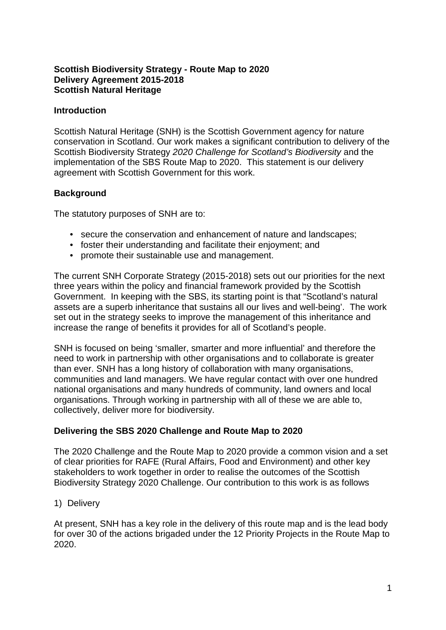### **Scottish Biodiversity Strategy - Route Map to 2020 Delivery Agreement 2015-2018 Scottish Natural Heritage**

#### **Introduction**

Scottish Natural Heritage (SNH) is the Scottish Government agency for nature conservation in Scotland. Our work makes a significant contribution to delivery of the Scottish Biodiversity Strategy *2020 Challenge for Scotland's Biodiversity* and the implementation of the SBS Route Map to 2020. This statement is our delivery agreement with Scottish Government for this work.

## **Background**

The statutory purposes of SNH are to:

- secure the conservation and enhancement of nature and landscapes;
- foster their understanding and facilitate their enjoyment; and
- promote their sustainable use and management.

The current SNH Corporate Strategy (2015-2018) sets out our priorities for the next three years within the policy and financial framework provided by the Scottish Government. In keeping with the SBS, its starting point is that "Scotland's natural assets are a superb inheritance that sustains all our lives and well-being'. The work set out in the strategy seeks to improve the management of this inheritance and increase the range of benefits it provides for all of Scotland's people.

SNH is focused on being 'smaller, smarter and more influential' and therefore the need to work in partnership with other organisations and to collaborate is greater than ever. SNH has a long history of collaboration with many organisations, communities and land managers. We have regular contact with over one hundred national organisations and many hundreds of community, land owners and local organisations. Through working in partnership with all of these we are able to, collectively, deliver more for biodiversity.

## **Delivering the SBS 2020 Challenge and Route Map to 2020**

The 2020 Challenge and the Route Map to 2020 provide a common vision and a set of clear priorities for RAFE (Rural Affairs, Food and Environment) and other key stakeholders to work together in order to realise the outcomes of the Scottish Biodiversity Strategy 2020 Challenge. Our contribution to this work is as follows

1) Delivery

At present, SNH has a key role in the delivery of this route map and is the lead body for over 30 of the actions brigaded under the 12 Priority Projects in the Route Map to 2020.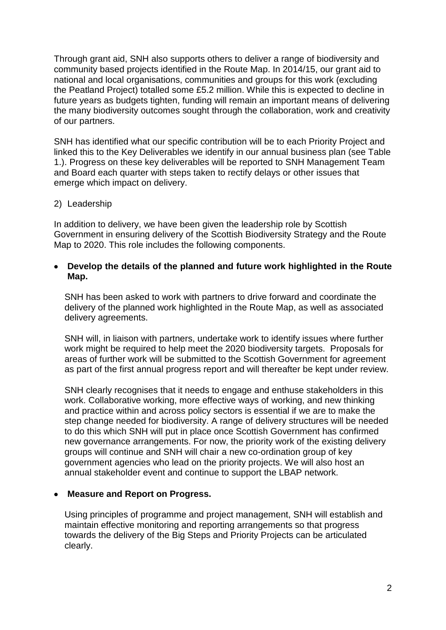Through grant aid, SNH also supports others to deliver a range of biodiversity and community based projects identified in the Route Map. In 2014/15, our grant aid to national and local organisations, communities and groups for this work (excluding the Peatland Project) totalled some £5.2 million. While this is expected to decline in future years as budgets tighten, funding will remain an important means of delivering the many biodiversity outcomes sought through the collaboration, work and creativity of our partners.

SNH has identified what our specific contribution will be to each Priority Project and linked this to the Key Deliverables we identify in our annual business plan (see Table 1.). Progress on these key deliverables will be reported to SNH Management Team and Board each quarter with steps taken to rectify delays or other issues that emerge which impact on delivery.

#### 2) Leadership

In addition to delivery, we have been given the leadership role by Scottish Government in ensuring delivery of the Scottish Biodiversity Strategy and the Route Map to 2020. This role includes the following components.

#### • **Develop the details of the planned and future work highlighted in the Route Map.**

SNH has been asked to work with partners to drive forward and coordinate the delivery of the planned work highlighted in the Route Map, as well as associated delivery agreements.

SNH will, in liaison with partners, undertake work to identify issues where further work might be required to help meet the 2020 biodiversity targets. Proposals for areas of further work will be submitted to the Scottish Government for agreement as part of the first annual progress report and will thereafter be kept under review.

SNH clearly recognises that it needs to engage and enthuse stakeholders in this work. Collaborative working, more effective ways of working, and new thinking and practice within and across policy sectors is essential if we are to make the step change needed for biodiversity. A range of delivery structures will be needed to do this which SNH will put in place once Scottish Government has confirmed new governance arrangements. For now, the priority work of the existing delivery groups will continue and SNH will chair a new co-ordination group of key government agencies who lead on the priority projects. We will also host an annual stakeholder event and continue to support the LBAP network.

#### • **Measure and Report on Progress.**

Using principles of programme and project management, SNH will establish and maintain effective monitoring and reporting arrangements so that progress towards the delivery of the Big Steps and Priority Projects can be articulated clearly.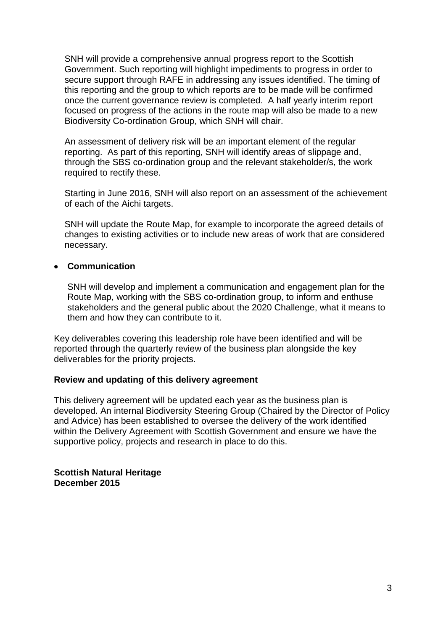SNH will provide a comprehensive annual progress report to the Scottish Government. Such reporting will highlight impediments to progress in order to secure support through RAFE in addressing any issues identified. The timing of this reporting and the group to which reports are to be made will be confirmed once the current governance review is completed. A half yearly interim report focused on progress of the actions in the route map will also be made to a new Biodiversity Co-ordination Group, which SNH will chair.

An assessment of delivery risk will be an important element of the regular reporting. As part of this reporting, SNH will identify areas of slippage and, through the SBS co-ordination group and the relevant stakeholder/s, the work required to rectify these.

Starting in June 2016, SNH will also report on an assessment of the achievement of each of the Aichi targets.

SNH will update the Route Map, for example to incorporate the agreed details of changes to existing activities or to include new areas of work that are considered necessary.

#### • **Communication**

SNH will develop and implement a communication and engagement plan for the Route Map, working with the SBS co-ordination group, to inform and enthuse stakeholders and the general public about the 2020 Challenge, what it means to them and how they can contribute to it.

Key deliverables covering this leadership role have been identified and will be reported through the quarterly review of the business plan alongside the key deliverables for the priority projects.

#### **Review and updating of this delivery agreement**

This delivery agreement will be updated each year as the business plan is developed. An internal Biodiversity Steering Group (Chaired by the Director of Policy and Advice) has been established to oversee the delivery of the work identified within the Delivery Agreement with Scottish Government and ensure we have the supportive policy, projects and research in place to do this.

**Scottish Natural Heritage December 2015**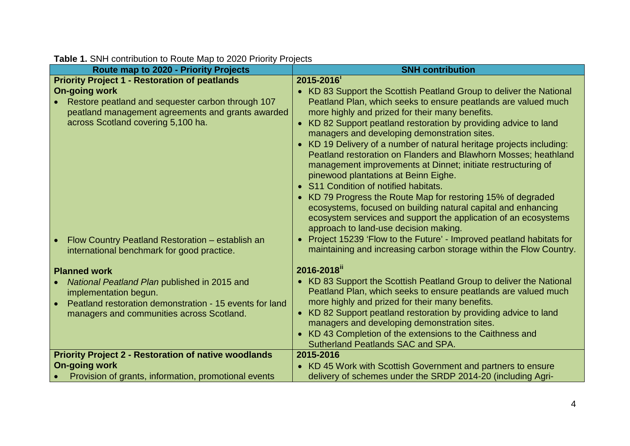| Route map to 2020 - Priority Projects                                                                                                                                                                | <b>SNH contribution</b>                                                                                                                                                                                                                                                                                                                                                                                                                                                                                                                                                                                                                                          |
|------------------------------------------------------------------------------------------------------------------------------------------------------------------------------------------------------|------------------------------------------------------------------------------------------------------------------------------------------------------------------------------------------------------------------------------------------------------------------------------------------------------------------------------------------------------------------------------------------------------------------------------------------------------------------------------------------------------------------------------------------------------------------------------------------------------------------------------------------------------------------|
| <b>Priority Project 1 - Restoration of peatlands</b><br><b>On-going work</b>                                                                                                                         | 2015-2016<br>• KD 83 Support the Scottish Peatland Group to deliver the National                                                                                                                                                                                                                                                                                                                                                                                                                                                                                                                                                                                 |
| Restore peatland and sequester carbon through 107<br>peatland management agreements and grants awarded<br>across Scotland covering 5,100 ha.                                                         | Peatland Plan, which seeks to ensure peatlands are valued much<br>more highly and prized for their many benefits.<br>• KD 82 Support peatland restoration by providing advice to land<br>managers and developing demonstration sites.<br>KD 19 Delivery of a number of natural heritage projects including:<br>Peatland restoration on Flanders and Blawhorn Mosses; heathland<br>management improvements at Dinnet; initiate restructuring of<br>pinewood plantations at Beinn Eighe.<br>• S11 Condition of notified habitats.<br>• KD 79 Progress the Route Map for restoring 15% of degraded<br>ecosystems, focused on building natural capital and enhancing |
| Flow Country Peatland Restoration - establish an<br>international benchmark for good practice.                                                                                                       | ecosystem services and support the application of an ecosystems<br>approach to land-use decision making.<br>Project 15239 'Flow to the Future' - Improved peatland habitats for<br>maintaining and increasing carbon storage within the Flow Country.                                                                                                                                                                                                                                                                                                                                                                                                            |
| <b>Planned work</b><br>National Peatland Plan published in 2015 and<br>implementation begun.<br>Peatland restoration demonstration - 15 events for land<br>managers and communities across Scotland. | 2016-2018 <sup>ii</sup><br>• KD 83 Support the Scottish Peatland Group to deliver the National<br>Peatland Plan, which seeks to ensure peatlands are valued much<br>more highly and prized for their many benefits.<br>• KD 82 Support peatland restoration by providing advice to land<br>managers and developing demonstration sites.<br>KD 43 Completion of the extensions to the Caithness and<br>Sutherland Peatlands SAC and SPA.                                                                                                                                                                                                                          |
| <b>Priority Project 2 - Restoration of native woodlands</b>                                                                                                                                          | 2015-2016                                                                                                                                                                                                                                                                                                                                                                                                                                                                                                                                                                                                                                                        |
| <b>On-going work</b><br>Provision of grants, information, promotional events                                                                                                                         | • KD 45 Work with Scottish Government and partners to ensure<br>delivery of schemes under the SRDP 2014-20 (including Agri-                                                                                                                                                                                                                                                                                                                                                                                                                                                                                                                                      |
|                                                                                                                                                                                                      |                                                                                                                                                                                                                                                                                                                                                                                                                                                                                                                                                                                                                                                                  |

# **Table 1.** SNH contribution to Route Map to 2020 Priority Projects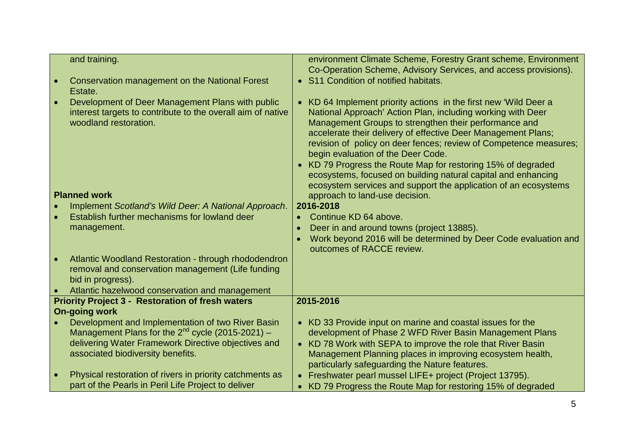| and training.                                                                                                                            | environment Climate Scheme, Forestry Grant scheme, Environment                                                                                                                                                                                                                                                                                                                                                                                                                                                                                                           |
|------------------------------------------------------------------------------------------------------------------------------------------|--------------------------------------------------------------------------------------------------------------------------------------------------------------------------------------------------------------------------------------------------------------------------------------------------------------------------------------------------------------------------------------------------------------------------------------------------------------------------------------------------------------------------------------------------------------------------|
|                                                                                                                                          | Co-Operation Scheme, Advisory Services, and access provisions).                                                                                                                                                                                                                                                                                                                                                                                                                                                                                                          |
| <b>Conservation management on the National Forest</b><br>Estate.                                                                         | • S11 Condition of notified habitats.                                                                                                                                                                                                                                                                                                                                                                                                                                                                                                                                    |
| Development of Deer Management Plans with public<br>interest targets to contribute to the overall aim of native<br>woodland restoration. | • KD 64 Implement priority actions in the first new 'Wild Deer a<br>National Approach' Action Plan, including working with Deer<br>Management Groups to strengthen their performance and<br>accelerate their delivery of effective Deer Management Plans;<br>revision of policy on deer fences; review of Competence measures;<br>begin evaluation of the Deer Code.<br>• KD 79 Progress the Route Map for restoring 15% of degraded<br>ecosystems, focused on building natural capital and enhancing<br>ecosystem services and support the application of an ecosystems |
| <b>Planned work</b>                                                                                                                      | approach to land-use decision.                                                                                                                                                                                                                                                                                                                                                                                                                                                                                                                                           |
| Implement Scotland's Wild Deer: A National Approach.                                                                                     | 2016-2018                                                                                                                                                                                                                                                                                                                                                                                                                                                                                                                                                                |
| Establish further mechanisms for lowland deer                                                                                            | Continue KD 64 above.                                                                                                                                                                                                                                                                                                                                                                                                                                                                                                                                                    |
| management.                                                                                                                              | Deer in and around towns (project 13885).                                                                                                                                                                                                                                                                                                                                                                                                                                                                                                                                |
|                                                                                                                                          | Work beyond 2016 will be determined by Deer Code evaluation and<br>outcomes of RACCE review.                                                                                                                                                                                                                                                                                                                                                                                                                                                                             |
| Atlantic Woodland Restoration - through rhododendron<br>removal and conservation management (Life funding<br>bid in progress).           |                                                                                                                                                                                                                                                                                                                                                                                                                                                                                                                                                                          |
| Atlantic hazelwood conservation and management                                                                                           |                                                                                                                                                                                                                                                                                                                                                                                                                                                                                                                                                                          |
| <b>Priority Project 3 - Restoration of fresh waters</b>                                                                                  | 2015-2016                                                                                                                                                                                                                                                                                                                                                                                                                                                                                                                                                                |
| <b>On-going work</b>                                                                                                                     |                                                                                                                                                                                                                                                                                                                                                                                                                                                                                                                                                                          |
| Development and Implementation of two River Basin                                                                                        | • KD 33 Provide input on marine and coastal issues for the                                                                                                                                                                                                                                                                                                                                                                                                                                                                                                               |
| Management Plans for the $2^{nd}$ cycle (2015-2021) -                                                                                    | development of Phase 2 WFD River Basin Management Plans                                                                                                                                                                                                                                                                                                                                                                                                                                                                                                                  |
| delivering Water Framework Directive objectives and                                                                                      | • KD 78 Work with SEPA to improve the role that River Basin                                                                                                                                                                                                                                                                                                                                                                                                                                                                                                              |
| associated biodiversity benefits.                                                                                                        | Management Planning places in improving ecosystem health,                                                                                                                                                                                                                                                                                                                                                                                                                                                                                                                |
|                                                                                                                                          | particularly safeguarding the Nature features.                                                                                                                                                                                                                                                                                                                                                                                                                                                                                                                           |
| Physical restoration of rivers in priority catchments as<br>part of the Pearls in Peril Life Project to deliver                          | • Freshwater pearl mussel LIFE+ project (Project 13795).                                                                                                                                                                                                                                                                                                                                                                                                                                                                                                                 |
|                                                                                                                                          | • KD 79 Progress the Route Map for restoring 15% of degraded                                                                                                                                                                                                                                                                                                                                                                                                                                                                                                             |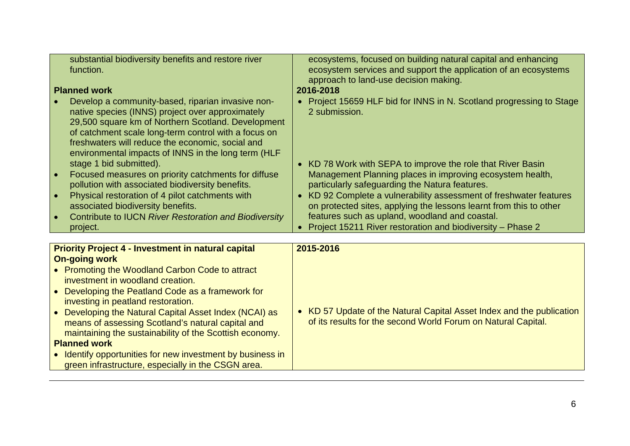| substantial biodiversity benefits and restore river<br>function.<br><b>Planned work</b><br>Develop a community-based, riparian invasive non-<br>native species (INNS) project over approximately<br>29,500 square km of Northern Scotland. Development<br>of catchment scale long-term control with a focus on<br>freshwaters will reduce the economic, social and<br>environmental impacts of INNS in the long term (HLF<br>stage 1 bid submitted).<br>Focused measures on priority catchments for diffuse<br>pollution with associated biodiversity benefits.<br>Physical restoration of 4 pilot catchments with<br>associated biodiversity benefits.<br>Contribute to IUCN River Restoration and Biodiversity<br>project. | ecosystems, focused on building natural capital and enhancing<br>ecosystem services and support the application of an ecosystems<br>approach to land-use decision making.<br>2016-2018<br>• Project 15659 HLF bid for INNS in N. Scotland progressing to Stage<br>2 submission.<br>• KD 78 Work with SEPA to improve the role that River Basin<br>Management Planning places in improving ecosystem health,<br>particularly safeguarding the Natura features.<br>• KD 92 Complete a vulnerability assessment of freshwater features<br>on protected sites, applying the lessons learnt from this to other<br>features such as upland, woodland and coastal.<br>Project 15211 River restoration and biodiversity - Phase 2 |
|------------------------------------------------------------------------------------------------------------------------------------------------------------------------------------------------------------------------------------------------------------------------------------------------------------------------------------------------------------------------------------------------------------------------------------------------------------------------------------------------------------------------------------------------------------------------------------------------------------------------------------------------------------------------------------------------------------------------------|---------------------------------------------------------------------------------------------------------------------------------------------------------------------------------------------------------------------------------------------------------------------------------------------------------------------------------------------------------------------------------------------------------------------------------------------------------------------------------------------------------------------------------------------------------------------------------------------------------------------------------------------------------------------------------------------------------------------------|
|                                                                                                                                                                                                                                                                                                                                                                                                                                                                                                                                                                                                                                                                                                                              |                                                                                                                                                                                                                                                                                                                                                                                                                                                                                                                                                                                                                                                                                                                           |
| <b>Priority Project 4 - Investment in natural capital</b><br><b>On-going work</b>                                                                                                                                                                                                                                                                                                                                                                                                                                                                                                                                                                                                                                            | 2015-2016                                                                                                                                                                                                                                                                                                                                                                                                                                                                                                                                                                                                                                                                                                                 |
| • Promoting the Woodland Carbon Code to attract<br>investment in woodland creation.<br>Developing the Peatland Code as a framework for<br>$\bullet$<br>investing in peatland restoration.<br>Developing the Natural Capital Asset Index (NCAI) as<br>means of assessing Scotland's natural capital and                                                                                                                                                                                                                                                                                                                                                                                                                       | • KD 57 Update of the Natural Capital Asset Index and the publication<br>of its results for the second World Forum on Natural Capital.                                                                                                                                                                                                                                                                                                                                                                                                                                                                                                                                                                                    |

maintaining the sustainability of the Scottish economy.

• Identify opportunities for new investment by business in green infrastructure, especially in the CSGN area.

**Planned work**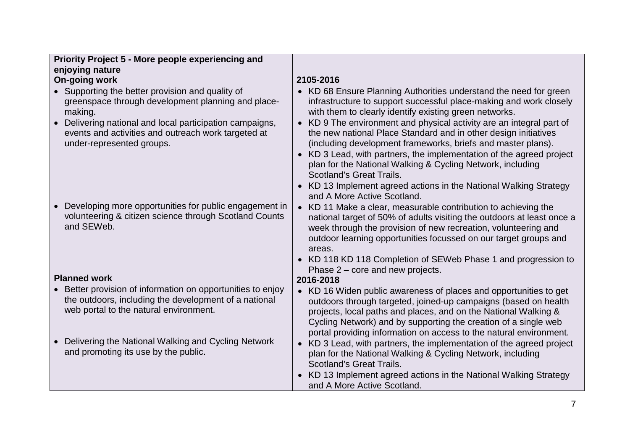| Priority Project 5 - More people experiencing and                                                                                                              |                                                                                                                                                                                                                                                                                                                                                  |
|----------------------------------------------------------------------------------------------------------------------------------------------------------------|--------------------------------------------------------------------------------------------------------------------------------------------------------------------------------------------------------------------------------------------------------------------------------------------------------------------------------------------------|
| enjoying nature                                                                                                                                                |                                                                                                                                                                                                                                                                                                                                                  |
| <b>On-going work</b>                                                                                                                                           | 2105-2016                                                                                                                                                                                                                                                                                                                                        |
| • Supporting the better provision and quality of<br>greenspace through development planning and place-<br>making.                                              | • KD 68 Ensure Planning Authorities understand the need for green<br>infrastructure to support successful place-making and work closely<br>with them to clearly identify existing green networks.                                                                                                                                                |
| Delivering national and local participation campaigns,<br>events and activities and outreach work targeted at<br>under-represented groups.                     | KD 9 The environment and physical activity are an integral part of<br>$\bullet$<br>the new national Place Standard and in other design initiatives<br>(including development frameworks, briefs and master plans).                                                                                                                               |
|                                                                                                                                                                | KD 3 Lead, with partners, the implementation of the agreed project<br>$\bullet$<br>plan for the National Walking & Cycling Network, including<br><b>Scotland's Great Trails.</b>                                                                                                                                                                 |
|                                                                                                                                                                | KD 13 Implement agreed actions in the National Walking Strategy<br>and A More Active Scotland.                                                                                                                                                                                                                                                   |
| Developing more opportunities for public engagement in<br>volunteering & citizen science through Scotland Counts<br>and SEWeb.                                 | • KD 11 Make a clear, measurable contribution to achieving the<br>national target of 50% of adults visiting the outdoors at least once a<br>week through the provision of new recreation, volunteering and<br>outdoor learning opportunities focussed on our target groups and<br>areas.                                                         |
|                                                                                                                                                                | • KD 118 KD 118 Completion of SEWeb Phase 1 and progression to<br>Phase $2$ – core and new projects.                                                                                                                                                                                                                                             |
| <b>Planned work</b>                                                                                                                                            | 2016-2018                                                                                                                                                                                                                                                                                                                                        |
| • Better provision of information on opportunities to enjoy<br>the outdoors, including the development of a national<br>web portal to the natural environment. | • KD 16 Widen public awareness of places and opportunities to get<br>outdoors through targeted, joined-up campaigns (based on health<br>projects, local paths and places, and on the National Walking &<br>Cycling Network) and by supporting the creation of a single web<br>portal providing information on access to the natural environment. |
| Delivering the National Walking and Cycling Network<br>$\bullet$<br>and promoting its use by the public.                                                       | • KD 3 Lead, with partners, the implementation of the agreed project<br>plan for the National Walking & Cycling Network, including<br><b>Scotland's Great Trails.</b>                                                                                                                                                                            |
|                                                                                                                                                                | KD 13 Implement agreed actions in the National Walking Strategy<br>and A More Active Scotland.                                                                                                                                                                                                                                                   |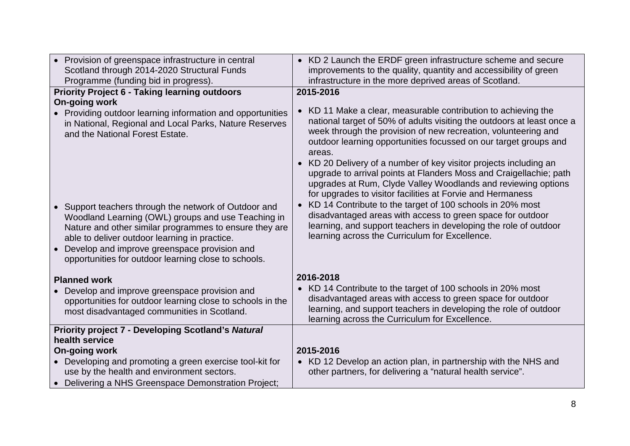| • Provision of greenspace infrastructure in central<br>Scotland through 2014-2020 Structural Funds<br>Programme (funding bid in progress).                                                                                                                                                                                                                                                                                                                                                                                                                         | • KD 2 Launch the ERDF green infrastructure scheme and secure<br>improvements to the quality, quantity and accessibility of green<br>infrastructure in the more deprived areas of Scotland.                                                                                                                                                                                                                                                                                                                                                                                                                                                                                                                                                                                                                                                              |
|--------------------------------------------------------------------------------------------------------------------------------------------------------------------------------------------------------------------------------------------------------------------------------------------------------------------------------------------------------------------------------------------------------------------------------------------------------------------------------------------------------------------------------------------------------------------|----------------------------------------------------------------------------------------------------------------------------------------------------------------------------------------------------------------------------------------------------------------------------------------------------------------------------------------------------------------------------------------------------------------------------------------------------------------------------------------------------------------------------------------------------------------------------------------------------------------------------------------------------------------------------------------------------------------------------------------------------------------------------------------------------------------------------------------------------------|
| <b>Priority Project 6 - Taking learning outdoors</b><br>On-going work<br>• Providing outdoor learning information and opportunities<br>in National, Regional and Local Parks, Nature Reserves<br>and the National Forest Estate.<br>• Support teachers through the network of Outdoor and<br>Woodland Learning (OWL) groups and use Teaching in<br>Nature and other similar programmes to ensure they are<br>able to deliver outdoor learning in practice.<br>Develop and improve greenspace provision and<br>opportunities for outdoor learning close to schools. | 2015-2016<br>• KD 11 Make a clear, measurable contribution to achieving the<br>national target of 50% of adults visiting the outdoors at least once a<br>week through the provision of new recreation, volunteering and<br>outdoor learning opportunities focussed on our target groups and<br>areas.<br>KD 20 Delivery of a number of key visitor projects including an<br>$\bullet$<br>upgrade to arrival points at Flanders Moss and Craigellachie; path<br>upgrades at Rum, Clyde Valley Woodlands and reviewing options<br>for upgrades to visitor facilities at Forvie and Hermaness<br>KD 14 Contribute to the target of 100 schools in 20% most<br>$\bullet$<br>disadvantaged areas with access to green space for outdoor<br>learning, and support teachers in developing the role of outdoor<br>learning across the Curriculum for Excellence. |
| <b>Planned work</b><br>Develop and improve greenspace provision and<br>opportunities for outdoor learning close to schools in the<br>most disadvantaged communities in Scotland.                                                                                                                                                                                                                                                                                                                                                                                   | 2016-2018<br>• KD 14 Contribute to the target of 100 schools in 20% most<br>disadvantaged areas with access to green space for outdoor<br>learning, and support teachers in developing the role of outdoor<br>learning across the Curriculum for Excellence.                                                                                                                                                                                                                                                                                                                                                                                                                                                                                                                                                                                             |
| <b>Priority project 7 - Developing Scotland's Natural</b><br>health service<br><b>On-going work</b><br>• Developing and promoting a green exercise tool-kit for<br>use by the health and environment sectors.<br>• Delivering a NHS Greenspace Demonstration Project;                                                                                                                                                                                                                                                                                              | 2015-2016<br>• KD 12 Develop an action plan, in partnership with the NHS and<br>other partners, for delivering a "natural health service".                                                                                                                                                                                                                                                                                                                                                                                                                                                                                                                                                                                                                                                                                                               |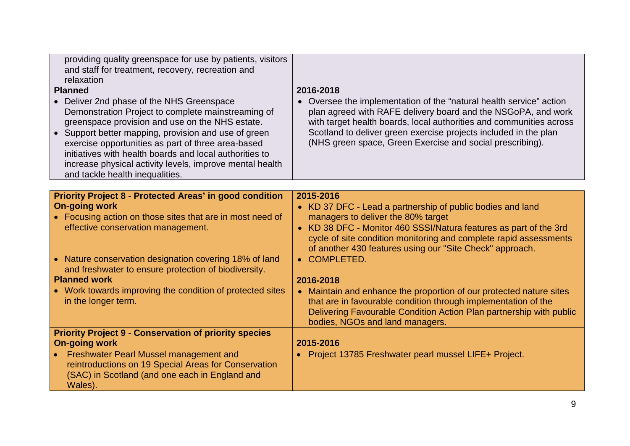| providing quality greenspace for use by patients, visitors<br>and staff for treatment, recovery, recreation and<br>relaxation<br><b>Planned</b><br>• Deliver 2nd phase of the NHS Greenspace<br>Demonstration Project to complete mainstreaming of<br>greenspace provision and use on the NHS estate.<br>• Support better mapping, provision and use of green<br>exercise opportunities as part of three area-based<br>initiatives with health boards and local authorities to<br>increase physical activity levels, improve mental health<br>and tackle health inequalities. | 2016-2018<br>• Oversee the implementation of the "natural health service" action<br>plan agreed with RAFE delivery board and the NSGoPA, and work<br>with target health boards, local authorities and communities across<br>Scotland to deliver green exercise projects included in the plan<br>(NHS green space, Green Exercise and social prescribing).                                                                                                                                                                                                                                           |
|-------------------------------------------------------------------------------------------------------------------------------------------------------------------------------------------------------------------------------------------------------------------------------------------------------------------------------------------------------------------------------------------------------------------------------------------------------------------------------------------------------------------------------------------------------------------------------|-----------------------------------------------------------------------------------------------------------------------------------------------------------------------------------------------------------------------------------------------------------------------------------------------------------------------------------------------------------------------------------------------------------------------------------------------------------------------------------------------------------------------------------------------------------------------------------------------------|
|                                                                                                                                                                                                                                                                                                                                                                                                                                                                                                                                                                               |                                                                                                                                                                                                                                                                                                                                                                                                                                                                                                                                                                                                     |
| <b>Priority Project 8 - Protected Areas' in good condition</b><br><b>On-going work</b><br>• Focusing action on those sites that are in most need of<br>effective conservation management.<br>• Nature conservation designation covering 18% of land<br>and freshwater to ensure protection of biodiversity.<br><b>Planned work</b><br>• Work towards improving the condition of protected sites<br>in the longer term.                                                                                                                                                        | 2015-2016<br>• KD 37 DFC - Lead a partnership of public bodies and land<br>managers to deliver the 80% target<br>• KD 38 DFC - Monitor 460 SSSI/Natura features as part of the 3rd<br>cycle of site condition monitoring and complete rapid assessments<br>of another 430 features using our "Site Check" approach.<br>• COMPLETED.<br>2016-2018<br>• Maintain and enhance the proportion of our protected nature sites<br>that are in favourable condition through implementation of the<br>Delivering Favourable Condition Action Plan partnership with public<br>bodies, NGOs and land managers. |
| <b>Priority Project 9 - Conservation of priority species</b><br><b>On-going work</b><br>• Freshwater Pearl Mussel management and<br>reintroductions on 19 Special Areas for Conservation<br>(SAC) in Scotland (and one each in England and<br>Wales).                                                                                                                                                                                                                                                                                                                         | 2015-2016<br>• Project 13785 Freshwater pearl mussel LIFE+ Project.                                                                                                                                                                                                                                                                                                                                                                                                                                                                                                                                 |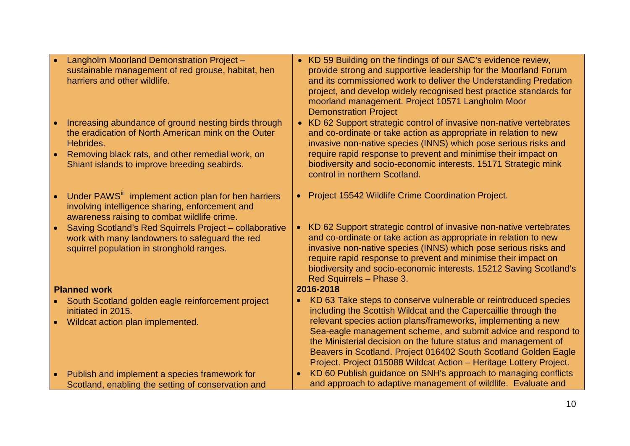| Langholm Moorland Demonstration Project -<br>sustainable management of red grouse, habitat, hen<br>harriers and other wildlife.<br>Increasing abundance of ground nesting birds through | • KD 59 Building on the findings of our SAC's evidence review,<br>provide strong and supportive leadership for the Moorland Forum<br>and its commissioned work to deliver the Understanding Predation<br>project, and develop widely recognised best practice standards for<br>moorland management. Project 10571 Langholm Moor<br><b>Demonstration Project</b><br>• KD 62 Support strategic control of invasive non-native vertebrates |
|-----------------------------------------------------------------------------------------------------------------------------------------------------------------------------------------|-----------------------------------------------------------------------------------------------------------------------------------------------------------------------------------------------------------------------------------------------------------------------------------------------------------------------------------------------------------------------------------------------------------------------------------------|
| the eradication of North American mink on the Outer<br>Hebrides.<br>Removing black rats, and other remedial work, on                                                                    | and co-ordinate or take action as appropriate in relation to new<br>invasive non-native species (INNS) which pose serious risks and<br>require rapid response to prevent and minimise their impact on                                                                                                                                                                                                                                   |
| Shiant islands to improve breeding seabirds.                                                                                                                                            | biodiversity and socio-economic interests. 15171 Strategic mink<br>control in northern Scotland.                                                                                                                                                                                                                                                                                                                                        |
| Under PAWS <sup>III</sup> implement action plan for hen harriers<br>involving intelligence sharing, enforcement and<br>awareness raising to combat wildlife crime.                      | • Project 15542 Wildlife Crime Coordination Project.                                                                                                                                                                                                                                                                                                                                                                                    |
| Saving Scotland's Red Squirrels Project - collaborative<br>work with many landowners to safeguard the red<br>squirrel population in stronghold ranges.                                  | • KD 62 Support strategic control of invasive non-native vertebrates<br>and co-ordinate or take action as appropriate in relation to new<br>invasive non-native species (INNS) which pose serious risks and<br>require rapid response to prevent and minimise their impact on<br>biodiversity and socio-economic interests. 15212 Saving Scotland's<br>Red Squirrels - Phase 3.                                                         |
| <b>Planned work</b>                                                                                                                                                                     | 2016-2018                                                                                                                                                                                                                                                                                                                                                                                                                               |
| South Scotland golden eagle reinforcement project<br>initiated in 2015.                                                                                                                 | KD 63 Take steps to conserve vulnerable or reintroduced species<br>$\bullet$<br>including the Scottish Wildcat and the Capercaillie through the                                                                                                                                                                                                                                                                                         |
| Wildcat action plan implemented.                                                                                                                                                        | relevant species action plans/frameworks, implementing a new<br>Sea-eagle management scheme, and submit advice and respond to<br>the Ministerial decision on the future status and management of<br>Beavers in Scotland. Project 016402 South Scotland Golden Eagle<br>Project. Project 015088 Wildcat Action - Heritage Lottery Project.                                                                                               |
| Publish and implement a species framework for<br>Scotland, enabling the setting of conservation and                                                                                     | KD 60 Publish guidance on SNH's approach to managing conflicts<br>and approach to adaptive management of wildlife. Evaluate and                                                                                                                                                                                                                                                                                                         |
|                                                                                                                                                                                         |                                                                                                                                                                                                                                                                                                                                                                                                                                         |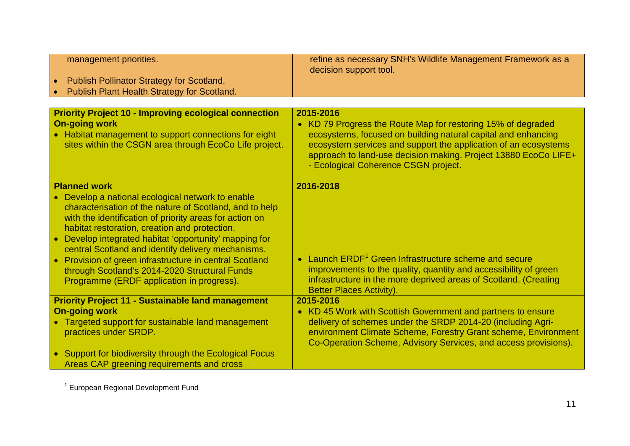<span id="page-10-0"></span>

| management priorities.                                                                                                                                                                                                                                                                                                                                                                              | refine as necessary SNH's Wildlife Management Framework as a<br>decision support tool.                                                                                                                                                                                                                      |
|-----------------------------------------------------------------------------------------------------------------------------------------------------------------------------------------------------------------------------------------------------------------------------------------------------------------------------------------------------------------------------------------------------|-------------------------------------------------------------------------------------------------------------------------------------------------------------------------------------------------------------------------------------------------------------------------------------------------------------|
| <b>Publish Pollinator Strategy for Scotland.</b>                                                                                                                                                                                                                                                                                                                                                    |                                                                                                                                                                                                                                                                                                             |
| Publish Plant Health Strategy for Scotland.                                                                                                                                                                                                                                                                                                                                                         |                                                                                                                                                                                                                                                                                                             |
|                                                                                                                                                                                                                                                                                                                                                                                                     |                                                                                                                                                                                                                                                                                                             |
| <b>Priority Project 10 - Improving ecological connection</b>                                                                                                                                                                                                                                                                                                                                        | 2015-2016                                                                                                                                                                                                                                                                                                   |
| <b>On-going work</b><br>• Habitat management to support connections for eight<br>sites within the CSGN area through EcoCo Life project.                                                                                                                                                                                                                                                             | • KD 79 Progress the Route Map for restoring 15% of degraded<br>ecosystems, focused on building natural capital and enhancing<br>ecosystem services and support the application of an ecosystems<br>approach to land-use decision making. Project 13880 EcoCo LIFE+<br>- Ecological Coherence CSGN project. |
| <b>Planned work</b>                                                                                                                                                                                                                                                                                                                                                                                 | 2016-2018                                                                                                                                                                                                                                                                                                   |
| • Develop a national ecological network to enable<br>characterisation of the nature of Scotland, and to help<br>with the identification of priority areas for action on<br>habitat restoration, creation and protection.<br>• Develop integrated habitat 'opportunity' mapping for<br>central Scotland and identify delivery mechanisms.<br>• Provision of green infrastructure in central Scotland | • Launch ERDF <sup>1</sup> Green Infrastructure scheme and secure                                                                                                                                                                                                                                           |
| through Scotland's 2014-2020 Structural Funds<br>Programme (ERDF application in progress).                                                                                                                                                                                                                                                                                                          | improvements to the quality, quantity and accessibility of green<br>infrastructure in the more deprived areas of Scotland. (Creating<br><b>Better Places Activity).</b>                                                                                                                                     |
| <b>Priority Project 11 - Sustainable land management</b>                                                                                                                                                                                                                                                                                                                                            | 2015-2016                                                                                                                                                                                                                                                                                                   |
| <b>On-going work</b>                                                                                                                                                                                                                                                                                                                                                                                | • KD 45 Work with Scottish Government and partners to ensure                                                                                                                                                                                                                                                |
| • Targeted support for sustainable land management<br>practices under SRDP.                                                                                                                                                                                                                                                                                                                         | delivery of schemes under the SRDP 2014-20 (including Agri-<br>environment Climate Scheme, Forestry Grant scheme, Environment<br>Co-Operation Scheme, Advisory Services, and access provisions).                                                                                                            |
| • Support for biodiversity through the Ecological Focus                                                                                                                                                                                                                                                                                                                                             |                                                                                                                                                                                                                                                                                                             |
| Areas CAP greening requirements and cross                                                                                                                                                                                                                                                                                                                                                           |                                                                                                                                                                                                                                                                                                             |

<sup>1</sup> European Regional Development Fund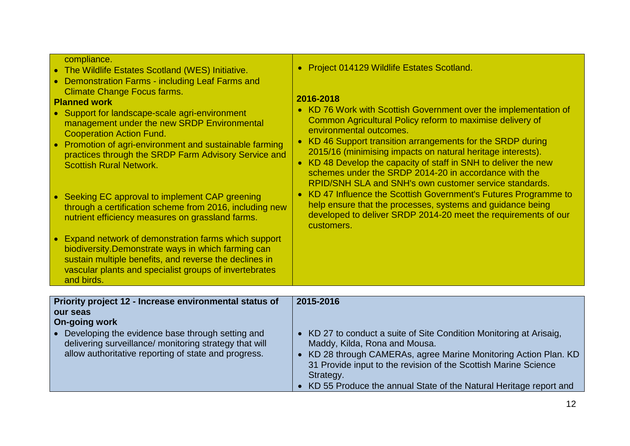| compliance.<br>• The Wildlife Estates Scotland (WES) Initiative.<br>• Demonstration Farms - including Leaf Farms and<br><b>Climate Change Focus farms.</b><br><b>Planned work</b><br>• Support for landscape-scale agri-environment<br>management under the new SRDP Environmental<br><b>Cooperation Action Fund.</b><br>• Promotion of agri-environment and sustainable farming<br>practices through the SRDP Farm Advisory Service and<br><b>Scottish Rural Network.</b><br>Seeking EC approval to implement CAP greening<br>$\bullet$<br>through a certification scheme from 2016, including new<br>nutrient efficiency measures on grassland farms.<br>Expand network of demonstration farms which support<br>$\bullet$<br>biodiversity. Demonstrate ways in which farming can<br>sustain multiple benefits, and reverse the declines in<br>vascular plants and specialist groups of invertebrates<br>and birds. | • Project 014129 Wildlife Estates Scotland.<br>2016-2018<br>• KD 76 Work with Scottish Government over the implementation of<br>Common Agricultural Policy reform to maximise delivery of<br>environmental outcomes.<br>• KD 46 Support transition arrangements for the SRDP during<br>2015/16 (minimising impacts on natural heritage interests).<br>• KD 48 Develop the capacity of staff in SNH to deliver the new<br>schemes under the SRDP 2014-20 in accordance with the<br>RPID/SNH SLA and SNH's own customer service standards.<br>• KD 47 Influence the Scottish Government's Futures Programme to<br>help ensure that the processes, systems and guidance being<br>developed to deliver SRDP 2014-20 meet the requirements of our<br>customers. |
|----------------------------------------------------------------------------------------------------------------------------------------------------------------------------------------------------------------------------------------------------------------------------------------------------------------------------------------------------------------------------------------------------------------------------------------------------------------------------------------------------------------------------------------------------------------------------------------------------------------------------------------------------------------------------------------------------------------------------------------------------------------------------------------------------------------------------------------------------------------------------------------------------------------------|------------------------------------------------------------------------------------------------------------------------------------------------------------------------------------------------------------------------------------------------------------------------------------------------------------------------------------------------------------------------------------------------------------------------------------------------------------------------------------------------------------------------------------------------------------------------------------------------------------------------------------------------------------------------------------------------------------------------------------------------------------|
|                                                                                                                                                                                                                                                                                                                                                                                                                                                                                                                                                                                                                                                                                                                                                                                                                                                                                                                      |                                                                                                                                                                                                                                                                                                                                                                                                                                                                                                                                                                                                                                                                                                                                                            |
| Priority project 12 - Increase environmental status of<br>our seas<br><b>On-going work</b><br>• Developing the evidence base through setting and<br>delivering surveillance/ monitoring strategy that will<br>allow authoritative reporting of state and progress.                                                                                                                                                                                                                                                                                                                                                                                                                                                                                                                                                                                                                                                   | 2015-2016<br>• KD 27 to conduct a suite of Site Condition Monitoring at Arisaig,<br>Maddy, Kilda, Rona and Mousa.<br>• KD 28 through CAMERAs, agree Marine Monitoring Action Plan. KD<br>31 Provide input to the revision of the Scottish Marine Science<br>Strategy.<br>• KD 55 Produce the annual State of the Natural Heritage report and                                                                                                                                                                                                                                                                                                                                                                                                               |